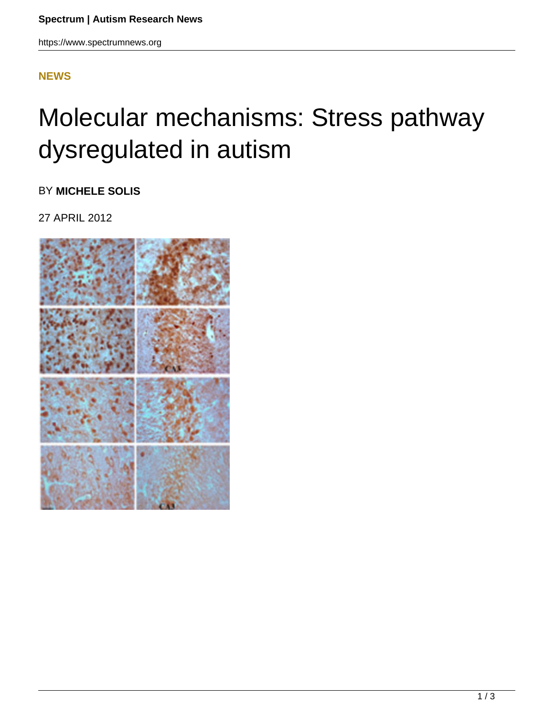## **[NEWS](HTTPS://WWW.SPECTRUMNEWS.ORG/NEWS/)**

## Molecular mechanisms: Stress pathway dysregulated in autism

BY **MICHELE SOLIS**

27 APRIL 2012

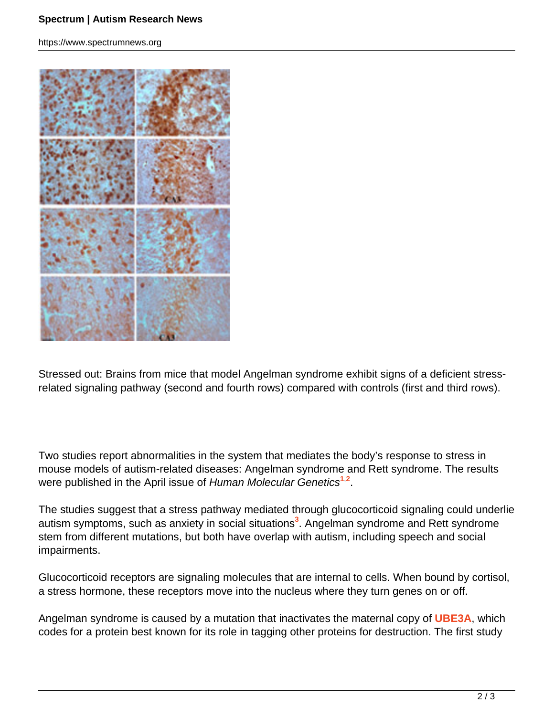https://www.spectrumnews.org



Stressed out: Brains from mice that model Angelman syndrome exhibit signs of a deficient stressrelated signaling pathway (second and fourth rows) compared with controls (first and third rows).

Two studies report abnormalities in the system that mediates the body's response to stress in mouse models of autism-related diseases: Angelman syndrome and Rett syndrome. The results were published in the April issue of Human Molecular Genetics**<sup>1</sup>**,**<sup>2</sup>** .

The studies suggest that a stress pathway mediated through glucocorticoid signaling could underlie autism symptoms, such as anxiety in social situations**<sup>3</sup>** . Angelman syndrome and Rett syndrome stem from different mutations, but both have overlap with autism, including speech and social impairments.

Glucocorticoid receptors are signaling molecules that are internal to cells. When bound by cortisol, a stress hormone, these receptors move into the nucleus where they turn genes on or off.

Angelman syndrome is caused by a mutation that inactivates the maternal copy of **UBE3A**, which codes for a protein best known for its role in tagging other proteins for destruction. The first study